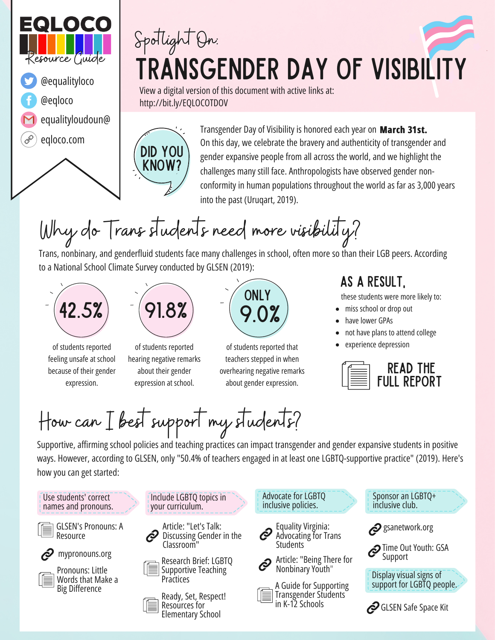

## Transgender Day of Visibility Spotlight On:

View a digital version of this document with active links at: http://bit.ly/EQLOCOTDOV

Did you know?

Transgender Day of Visibility is honored each year on **March 31st.** On this day, we celebrate the bravery and authenticity of transgender and gender expansive people from all across the world, and we highlight the challenges many still face. Anthropologists have observed gender nonconformity in human populations throughout the world as far as 3,000 years into the past (Uruqart, 2019).

## Why do Trans students need more visibility?

Trans, nonbinary, and genderfluid students face many challenges in school, often more so than their LGB peers. According to a National School Climate Survey conducted by GLSEN (2019):





of students reported feeling unsafe at school because of their gender expression. expression at school.

of students reported hearing negative remarks about their gender



of students reported that teachers stepped in when overhearing negative remarks about gender expression.

## as a result,

these students were more likely to:

- miss school or drop out
- have lower GPAs
- not have plans to attend college
- experience depression



How can I best support my students?

Supportive, affirming school policies and teaching practices can impact transgender and gender expansive students in positive ways. However, according to GLSEN, only "50.4% of teachers engaged in at least one LGBTQ-supportive practice" (2019). Here's how you can get started: